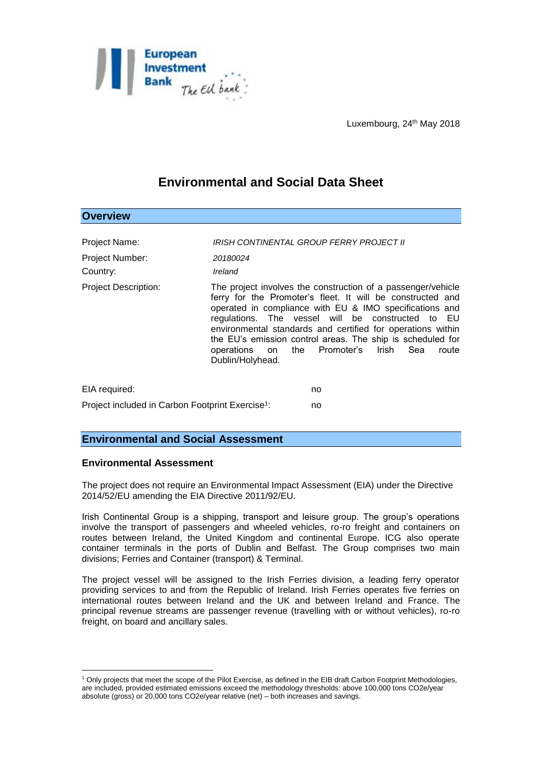

Luxembourg, 24<sup>th</sup> May 2018

## **Environmental and Social Data Sheet**

| <b>Overview</b>                                              |                     |                                                                                                                                                                                                                                                                                                                                                                                                                            |
|--------------------------------------------------------------|---------------------|----------------------------------------------------------------------------------------------------------------------------------------------------------------------------------------------------------------------------------------------------------------------------------------------------------------------------------------------------------------------------------------------------------------------------|
| Project Name:<br>Project Number:<br>Country:                 | 20180024<br>Ireland | IRISH CONTINENTAL GROUP FERRY PROJECT II                                                                                                                                                                                                                                                                                                                                                                                   |
| <b>Project Description:</b>                                  | Dublin/Holyhead.    | The project involves the construction of a passenger/vehicle<br>ferry for the Promoter's fleet. It will be constructed and<br>operated in compliance with EU & IMO specifications and<br>regulations. The vessel will be constructed to EU<br>environmental standards and certified for operations within<br>the EU's emission control areas. The ship is scheduled for<br>operations on the Promoter's Irish Sea<br>route |
| EIA required:                                                |                     | no                                                                                                                                                                                                                                                                                                                                                                                                                         |
| Project included in Carbon Footprint Exercise <sup>1</sup> : |                     | no                                                                                                                                                                                                                                                                                                                                                                                                                         |

## **Environmental and Social Assessment**

## **Environmental Assessment**

<u>.</u>

The project does not require an Environmental Impact Assessment (EIA) under the Directive 2014/52/EU amending the EIA Directive 2011/92/EU.

Irish Continental Group is a shipping, transport and leisure group. The group's operations involve the transport of passengers and wheeled vehicles, ro-ro freight and containers on routes between Ireland, the United Kingdom and continental Europe. ICG also operate container terminals in the ports of Dublin and Belfast. The Group comprises two main divisions; Ferries and Container (transport) & Terminal.

The project vessel will be assigned to the Irish Ferries division, a leading ferry operator providing services to and from the Republic of Ireland. Irish Ferries operates five ferries on international routes between Ireland and the UK and between Ireland and France. The principal revenue streams are passenger revenue (travelling with or without vehicles), ro-ro freight, on board and ancillary sales.

<sup>1</sup> Only projects that meet the scope of the Pilot Exercise, as defined in the EIB draft Carbon Footprint Methodologies, are included, provided estimated emissions exceed the methodology thresholds: above 100,000 tons CO2e/year absolute (gross) or 20,000 tons CO2e/year relative (net) – both increases and savings.